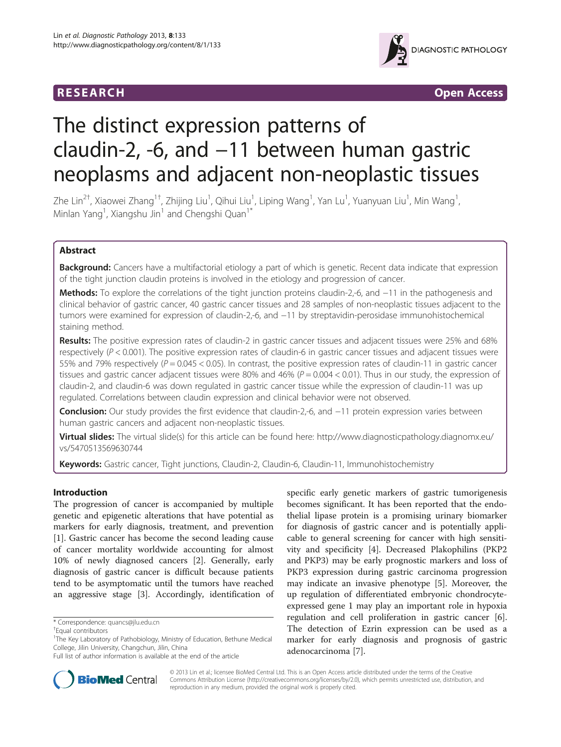

**RESEARCH RESEARCH** *CHECKER CHECKER CONTROLLER* 

# The distinct expression patterns of claudin-2, -6, and −11 between human gastric neoplasms and adjacent non-neoplastic tissues

Zhe Lin<sup>2†</sup>, Xiaowei Zhang<sup>1†</sup>, Zhijing Liu<sup>1</sup>, Qihui Liu<sup>1</sup>, Liping Wang<sup>1</sup>, Yan Lu<sup>1</sup>, Yuanyuan Liu<sup>1</sup>, Min Wang<sup>1</sup> , Minlan Yang<sup>1</sup>, Xiangshu Jin<sup>1</sup> and Chengshi Quan<sup>1\*</sup>

# Abstract

Background: Cancers have a multifactorial etiology a part of which is genetic. Recent data indicate that expression of the tight junction claudin proteins is involved in the etiology and progression of cancer.

Methods: To explore the correlations of the tight junction proteins claudin-2,-6, and −11 in the pathogenesis and clinical behavior of gastric cancer, 40 gastric cancer tissues and 28 samples of non-neoplastic tissues adjacent to the tumors were examined for expression of claudin-2,-6, and −11 by streptavidin-perosidase immunohistochemical staining method.

Results: The positive expression rates of claudin-2 in gastric cancer tissues and adjacent tissues were 25% and 68% respectively ( $P < 0.001$ ). The positive expression rates of claudin-6 in gastric cancer tissues and adjacent tissues were 55% and 79% respectively ( $P = 0.045 < 0.05$ ). In contrast, the positive expression rates of claudin-11 in gastric cancer tissues and gastric cancer adjacent tissues were 80% and 46% ( $P = 0.004 < 0.01$ ). Thus in our study, the expression of claudin-2, and claudin-6 was down regulated in gastric cancer tissue while the expression of claudin-11 was up regulated. Correlations between claudin expression and clinical behavior were not observed.

Conclusion: Our study provides the first evidence that claudin-2,-6, and −11 protein expression varies between human gastric cancers and adjacent non-neoplastic tissues.

Virtual slides: The virtual slide(s) for this article can be found here: [http://www.diagnosticpathology.diagnomx.eu/](http://www.diagnosticpathology.diagnomx.eu/vs/5470513569630744) [vs/5470513569630744](http://www.diagnosticpathology.diagnomx.eu/vs/5470513569630744)

Keywords: Gastric cancer, Tight junctions, Claudin-2, Claudin-6, Claudin-11, Immunohistochemistry

# Introduction

The progression of cancer is accompanied by multiple genetic and epigenetic alterations that have potential as markers for early diagnosis, treatment, and prevention [[1\]](#page-5-0). Gastric cancer has become the second leading cause of cancer mortality worldwide accounting for almost 10% of newly diagnosed cancers [\[2](#page-5-0)]. Generally, early diagnosis of gastric cancer is difficult because patients tend to be asymptomatic until the tumors have reached an aggressive stage [\[3\]](#page-5-0). Accordingly, identification of

specific early genetic markers of gastric tumorigenesis becomes significant. It has been reported that the endothelial lipase protein is a promising urinary biomarker for diagnosis of gastric cancer and is potentially applicable to general screening for cancer with high sensitivity and specificity [\[4](#page-5-0)]. Decreased Plakophilins (PKP2 and PKP3) may be early prognostic markers and loss of PKP3 expression during gastric carcinoma progression may indicate an invasive phenotype [[5\]](#page-5-0). Moreover, the up regulation of differentiated embryonic chondrocyteexpressed gene 1 may play an important role in hypoxia regulation and cell proliferation in gastric cancer [\[6](#page-5-0)]. The detection of Ezrin expression can be used as a marker for early diagnosis and prognosis of gastric adenocarcinoma [[7\]](#page-5-0).



© 2013 Lin et al.; licensee BioMed Central Ltd. This is an Open Access article distributed under the terms of the Creative Commons Attribution License [\(http://creativecommons.org/licenses/by/2.0\)](http://creativecommons.org/licenses/by/2.0), which permits unrestricted use, distribution, and reproduction in any medium, provided the original work is properly cited.

<sup>\*</sup> Correspondence: [quancs@jlu.edu.cn](mailto:quancs@jlu.edu.cn) †

Equal contributors

<sup>&</sup>lt;sup>1</sup>The Key Laboratory of Pathobiology, Ministry of Education, Bethune Medical College, Jilin University, Changchun, Jilin, China

Full list of author information is available at the end of the article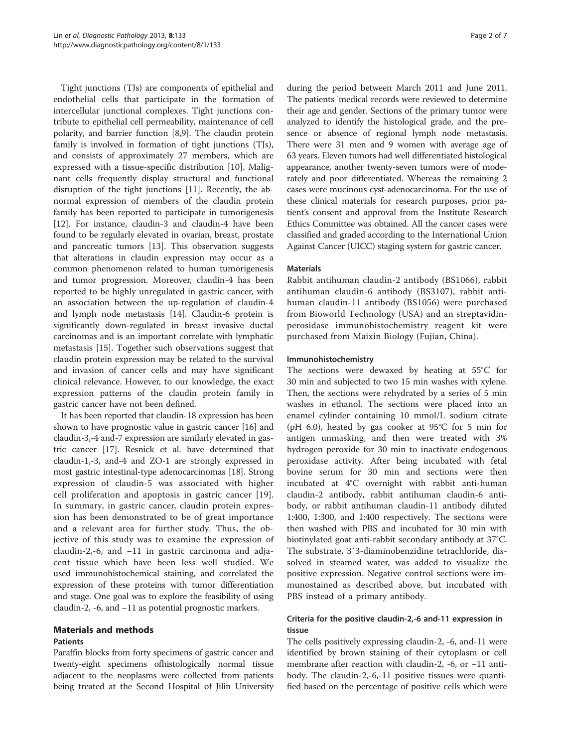Tight junctions (TJs) are components of epithelial and endothelial cells that participate in the formation of intercellular junctional complexes. Tight junctions contribute to epithelial cell permeability, maintenance of cell polarity, and barrier function [[8,9\]](#page-5-0). The claudin protein family is involved in formation of tight junctions (TJs), and consists of approximately 27 members, which are expressed with a tissue-specific distribution [[10\]](#page-5-0). Malignant cells frequently display structural and functional disruption of the tight junctions [[11\]](#page-5-0). Recently, the abnormal expression of members of the claudin protein family has been reported to participate in tumorigenesis [[12\]](#page-5-0). For instance, claudin-3 and claudin-4 have been found to be regularly elevated in ovarian, breast, prostate and pancreatic tumors [\[13\]](#page-5-0). This observation suggests that alterations in claudin expression may occur as a common phenomenon related to human tumorigenesis and tumor progression. Moreover, claudin-4 has been reported to be highly unregulated in gastric cancer, with an association between the up-regulation of claudin-4 and lymph node metastasis [\[14](#page-5-0)]. Claudin-6 protein is significantly down-regulated in breast invasive ductal carcinomas and is an important correlate with lymphatic metastasis [\[15\]](#page-5-0). Together such observations suggest that claudin protein expression may be related to the survival and invasion of cancer cells and may have significant clinical relevance. However, to our knowledge, the exact expression patterns of the claudin protein family in gastric cancer have not been defined.

It has been reported that claudin-18 expression has been shown to have prognostic value in gastric cancer [[16\]](#page-5-0) and claudin-3,-4 and-7 expression are similarly elevated in gastric cancer [[17](#page-5-0)]. Resnick et al. have determined that claudin-1,-3, and-4 and ZO-1 are strongly expressed in most gastric intestinal-type adenocarcinomas [[18](#page-5-0)]. Strong expression of claudin-5 was associated with higher cell proliferation and apoptosis in gastric cancer [[19](#page-5-0)]. In summary, in gastric cancer, claudin protein expression has been demonstrated to be of great importance and a relevant area for further study. Thus, the objective of this study was to examine the expression of claudin-2,-6, and −11 in gastric carcinoma and adjacent tissue which have been less well studied. We used immunohistochemical staining, and correlated the expression of these proteins with tumor differentiation and stage. One goal was to explore the feasibility of using claudin-2, -6, and −11 as potential prognostic markers.

#### Materials and methods

#### Patients

Paraffin blocks from forty specimens of gastric cancer and twenty-eight specimens ofhistologically normal tissue adjacent to the neoplasms were collected from patients being treated at the Second Hospital of Jilin University during the period between March 2011 and June 2011. The patients 'medical records were reviewed to determine their age and gender. Sections of the primary tumor were analyzed to identify the histological grade, and the presence or absence of regional lymph node metastasis. There were 31 men and 9 women with average age of 63 years. Eleven tumors had well differentiated histological appearance, another twenty-seven tumors were of moderately and poor differentiated. Whereas the remaining 2 cases were mucinous cyst-adenocarcinoma. For the use of these clinical materials for research purposes, prior patient's consent and approval from the Institute Research Ethics Committee was obtained. All the cancer cases were classified and graded according to the International Union Against Cancer (UICC) staging system for gastric cancer.

#### Materials

Rabbit antihuman claudin-2 antibody (BS1066), rabbit antihuman claudin-6 antibody (BS3107), rabbit antihuman claudin-11 antibody (BS1056) were purchased from Bioworld Technology (USA) and an streptavidinperosidase immunohistochemistry reagent kit were purchased from Maixin Biology (Fujian, China).

#### Immunohistochemistry

The sections were dewaxed by heating at 55°C for 30 min and subjected to two 15 min washes with xylene. Then, the sections were rehydrated by a series of 5 min washes in ethanol. The sections were placed into an enamel cylinder containing 10 mmol/L sodium citrate (pH 6.0), heated by gas cooker at 95°C for 5 min for antigen unmasking, and then were treated with 3% hydrogen peroxide for 30 min to inactivate endogenous peroxidase activity. After being incubated with fetal bovine serum for 30 min and sections were then incubated at 4°C overnight with rabbit anti-human claudin-2 antibody, rabbit antihuman claudin-6 antibody, or rabbit antihuman claudin-11 antibody diluted 1:400, 1:300, and 1:400 respectively. The sections were then washed with PBS and incubated for 30 min with biotinylated goat anti-rabbit secondary antibody at 37°C. The substrate, 3′3-diaminobenzidine tetrachloride, dissolved in steamed water, was added to visualize the positive expression. Negative control sections were immunostained as described above, but incubated with PBS instead of a primary antibody.

### Criteria for the positive claudin-2,-6 and-11 expression in tissue

The cells positively expressing claudin-2, -6, and-11 were identified by brown staining of their cytoplasm or cell membrane after reaction with claudin-2, -6, or −11 antibody. The claudin-2,-6,-11 positive tissues were quantified based on the percentage of positive cells which were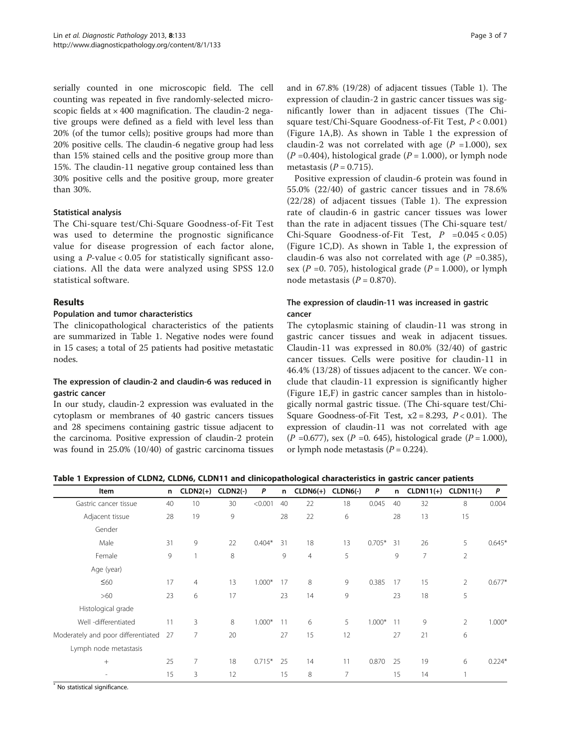serially counted in one microscopic field. The cell counting was repeated in five randomly-selected microscopic fields at  $\times$  400 magnification. The claudin-2 negative groups were defined as a field with level less than 20% (of the tumor cells); positive groups had more than 20% positive cells. The claudin-6 negative group had less than 15% stained cells and the positive group more than 15%. The claudin-11 negative group contained less than 30% positive cells and the positive group, more greater than 30%.

#### Statistical analysis

The Chi-square test/Chi-Square Goodness-of-Fit Test was used to determine the prognostic significance value for disease progression of each factor alone, using a P-value < 0.05 for statistically significant associations. All the data were analyzed using SPSS 12.0 statistical software.

# Results

#### Population and tumor characteristics

The clinicopathological characteristics of the patients are summarized in Table 1. Negative nodes were found in 15 cases; a total of 25 patients had positive metastatic nodes.

# The expression of claudin-2 and claudin-6 was reduced in gastric cancer

In our study, claudin-2 expression was evaluated in the cytoplasm or membranes of 40 gastric cancers tissues and 28 specimens containing gastric tissue adjacent to the carcinoma. Positive expression of claudin-2 protein was found in 25.0% (10/40) of gastric carcinoma tissues and in 67.8% (19/28) of adjacent tissues (Table 1). The expression of claudin-2 in gastric cancer tissues was significantly lower than in adjacent tissues (The Chisquare test/Chi-Square Goodness-of-Fit Test, P < 0.001) (Figure [1A](#page-3-0),B). As shown in Table 1 the expression of claudin-2 was not correlated with age  $(P = 1.000)$ , sex  $(P = 0.404)$ , histological grade  $(P = 1.000)$ , or lymph node metastasis ( $P = 0.715$ ).

Positive expression of claudin-6 protein was found in 55.0% (22/40) of gastric cancer tissues and in 78.6% (22/28) of adjacent tissues (Table 1). The expression rate of claudin-6 in gastric cancer tissues was lower than the rate in adjacent tissues (The Chi-square test/ Chi-Square Goodness-of-Fit Test,  $P = 0.045 < 0.05$ ) (Figure [1C](#page-3-0),D). As shown in Table 1, the expression of claudin-6 was also not correlated with age  $(P = 0.385)$ , sex ( $P = 0.705$ ), histological grade ( $P = 1.000$ ), or lymph node metastasis ( $P = 0.870$ ).

# The expression of claudin-11 was increased in gastric cancer

The cytoplasmic staining of claudin-11 was strong in gastric cancer tissues and weak in adjacent tissues. Claudin-11 was expressed in 80.0% (32/40) of gastric cancer tissues. Cells were positive for claudin-11 in 46.4% (13/28) of tissues adjacent to the cancer. We conclude that claudin-11 expression is significantly higher (Figure [1E](#page-3-0),F) in gastric cancer samples than in histologically normal gastric tissue. (The Chi-square test/Chi-Square Goodness-of-Fit Test,  $x2 = 8.293$ ,  $P < 0.01$ ). The expression of claudin-11 was not correlated with age  $(P = 0.677)$ , sex  $(P = 0.645)$ , histological grade  $(P = 1.000)$ , or lymph node metastasis ( $P = 0.224$ ).

|  |  |  |  | Table 1 Expression of CLDN2, CLDN6, CLDN11 and clinicopathological characteristics in gastric cancer patients |  |
|--|--|--|--|---------------------------------------------------------------------------------------------------------------|--|
|--|--|--|--|---------------------------------------------------------------------------------------------------------------|--|

| Item                               | n  | $CLDN2(+)$     | $CLDN2(-)$ | P        | n. | $CLDN6(+)$     | $CLDN6(-)$ | P        | n  | $CLDN11(+)$    | <b>CLDN11(-)</b> | P        |
|------------------------------------|----|----------------|------------|----------|----|----------------|------------|----------|----|----------------|------------------|----------|
| Gastric cancer tissue              | 40 | 10             | 30         | < 0.001  | 40 | 22             | 18         | 0.045    | 40 | 32             | 8                | 0.004    |
| Adjacent tissue                    | 28 | 19             | 9          |          | 28 | 22             | 6          |          | 28 | 13             | 15               |          |
| Gender                             |    |                |            |          |    |                |            |          |    |                |                  |          |
| Male                               | 31 | 9              | 22         | $0.404*$ | 31 | 18             | 13         | $0.705*$ | 31 | 26             | 5                | $0.645*$ |
| Female                             | 9  |                | 8          |          | 9  | $\overline{4}$ | 5          |          | 9  | $\overline{7}$ | $\overline{2}$   |          |
| Age (year)                         |    |                |            |          |    |                |            |          |    |                |                  |          |
| $\leq 60$                          | 17 | $\overline{4}$ | 13         | $1.000*$ | 17 | 8              | 9          | 0.385    | 17 | 15             | $\overline{2}$   | $0.677*$ |
| >60                                | 23 | 6              | 17         |          | 23 | 14             | 9          |          | 23 | 18             | 5                |          |
| Histological grade                 |    |                |            |          |    |                |            |          |    |                |                  |          |
| Well -differentiated               | 11 | 3              | 8          | $1.000*$ | 11 | 6              | 5          | $1.000*$ | 11 | 9              | $\overline{2}$   | $1.000*$ |
| Moderately and poor differentiated | 27 | 7              | 20         |          | 27 | 15             | 12         |          | 27 | 21             | 6                |          |
| Lymph node metastasis              |    |                |            |          |    |                |            |          |    |                |                  |          |
| $^{+}$                             | 25 | 7              | 18         | $0.715*$ | 25 | 14             | 11         | 0.870    | 25 | 19             | 6                | $0.224*$ |
|                                    | 15 | 3              | 12         |          | 15 | 8              | 7          |          | 15 | 14             |                  |          |

\* No statistical significance.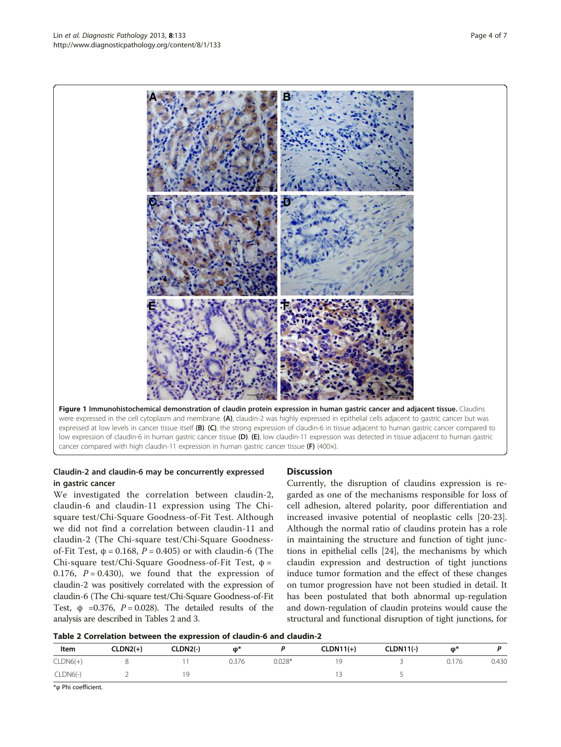Figure 1 Immunohistochemical demonstration of claudin protein expression in human gastric cancer and adjacent tissue. Claudins were expressed in the cell cytoplasm and membrane. (A), claudin-2 was highly expressed in epithelial cells adjacent to gastric cancer but was expressed at low levels in cancer tissue itself (B). (C), the strong expression of claudin-6 in tissue adjacent to human gastric cancer compared to low expression of claudin-6 in human gastric cancer tissue (D). (E), low claudin-11 expression was detected in tissue adjacent to human gastric cancer compared with high claudin-11 expression in human gastric cancer tissue (F)  $(400\times)$ .

# Claudin-2 and claudin-6 may be concurrently expressed in gastric cancer

We investigated the correlation between claudin-2, claudin-6 and claudin-11 expression using The Chisquare test/Chi-Square Goodness-of-Fit Test. Although we did not find a correlation between claudin-11 and claudin-2 (The Chi-square test/Chi-Square Goodnessof-Fit Test,  $φ = 0.168$ ,  $P = 0.405$ ) or with claudin-6 (The Chi-square test/Chi-Square Goodness-of-Fit Test, φ = 0.176,  $P = 0.430$ , we found that the expression of claudin-2 was positively correlated with the expression of claudin-6 (The Chi-square test/Chi-Square Goodness-of-Fit Test,  $\phi$  =0.376,  $P = 0.028$ ). The detailed results of the analysis are described in Tables 2 and [3](#page-4-0).

# **Discussion**

Currently, the disruption of claudins expression is regarded as one of the mechanisms responsible for loss of cell adhesion, altered polarity, poor differentiation and increased invasive potential of neoplastic cells [\[20-23](#page-5-0)]. Although the normal ratio of claudins protein has a role in maintaining the structure and function of tight junctions in epithelial cells [\[24](#page-5-0)], the mechanisms by which claudin expression and destruction of tight junctions induce tumor formation and the effect of these changes on tumor progression have not been studied in detail. It has been postulated that both abnormal up-regulation and down-regulation of claudin proteins would cause the structural and functional disruption of tight junctions, for



| $\ldots$ . The state of the state of the state of the state of the state of the state of the state $\ldots$ |            |          |       |          |             |                  |       |       |  |
|-------------------------------------------------------------------------------------------------------------|------------|----------|-------|----------|-------------|------------------|-------|-------|--|
| Item                                                                                                        | $CLDN2(+)$ | CLDN2(-) | ወ*    |          | $CLDN11(+)$ | <b>CLDN11(-)</b> | ወ*    |       |  |
| $CLDN6(+)$                                                                                                  |            |          | 0.376 | $0.028*$ |             |                  | 0.176 | 0.430 |  |
| $CLDN6(-)$                                                                                                  |            | q        |       |          |             |                  |       |       |  |

\*φ Phi coefficient.

<span id="page-3-0"></span>Lin *et al. Diagnostic Pathology 2*013, **8:**133 Page 4 of 7<br>http://www.diagnosticpathology.org/content/8/1/133 Page 4 of 7

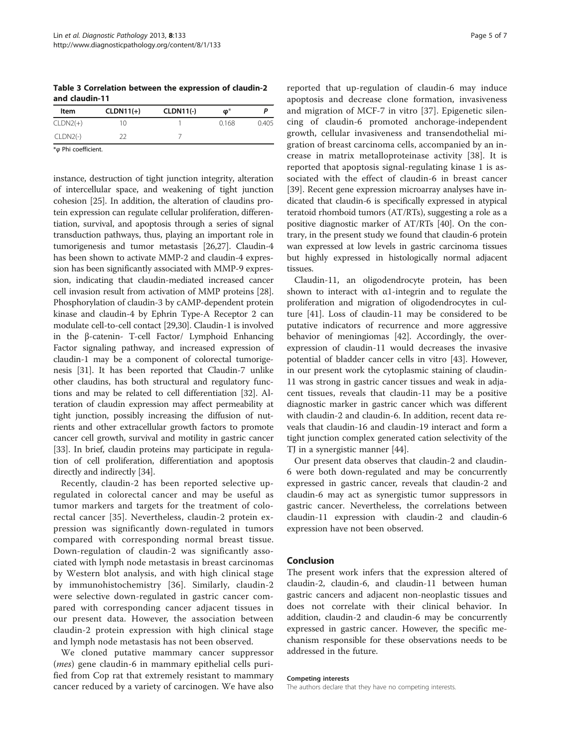<span id="page-4-0"></span>Table 3 Correlation between the expression of claudin-2 and claudin-11

| Item       | $CLDN11(+)$ | $CLDN11(-)$ | $\boldsymbol{\phi}^*$ |       |
|------------|-------------|-------------|-----------------------|-------|
| $CLDN2(+)$ | 10          |             | 0.168                 | 0.405 |
| $CLDN2(-)$ |             |             |                       |       |

\*φ Phi coefficient.

instance, destruction of tight junction integrity, alteration of intercellular space, and weakening of tight junction cohesion [[25](#page-5-0)]. In addition, the alteration of claudins protein expression can regulate cellular proliferation, differentiation, survival, and apoptosis through a series of signal transduction pathways, thus, playing an important role in tumorigenesis and tumor metastasis [[26,27\]](#page-5-0). Claudin-4 has been shown to activate MMP-2 and claudin-4 expression has been significantly associated with MMP-9 expression, indicating that claudin-mediated increased cancer cell invasion result from activation of MMP proteins [[28](#page-5-0)]. Phosphorylation of claudin-3 by cAMP-dependent protein kinase and claudin-4 by Ephrin Type-A Receptor 2 can modulate cell-to-cell contact [[29](#page-5-0),[30](#page-5-0)]. Claudin-1 is involved in the β-catenin- T-cell Factor/ Lymphoid Enhancing Factor signaling pathway, and increased expression of claudin-1 may be a component of colorectal tumorigenesis [[31](#page-5-0)]. It has been reported that Claudin-7 unlike other claudins, has both structural and regulatory functions and may be related to cell differentiation [[32](#page-5-0)]. Alteration of claudin expression may affect permeability at tight junction, possibly increasing the diffusion of nutrients and other extracellular growth factors to promote cancer cell growth, survival and motility in gastric cancer [[33](#page-5-0)]. In brief, claudin proteins may participate in regulation of cell proliferation, differentiation and apoptosis directly and indirectly [[34](#page-5-0)].

Recently, claudin-2 has been reported selective upregulated in colorectal cancer and may be useful as tumor markers and targets for the treatment of colorectal cancer [\[35](#page-5-0)]. Nevertheless, claudin-2 protein expression was significantly down-regulated in tumors compared with corresponding normal breast tissue. Down-regulation of claudin-2 was significantly associated with lymph node metastasis in breast carcinomas by Western blot analysis, and with high clinical stage by immunohistochemistry [[36\]](#page-5-0). Similarly, claudin-2 were selective down-regulated in gastric cancer compared with corresponding cancer adjacent tissues in our present data. However, the association between claudin-2 protein expression with high clinical stage and lymph node metastasis has not been observed.

We cloned putative mammary cancer suppressor (mes) gene claudin-6 in mammary epithelial cells purified from Cop rat that extremely resistant to mammary cancer reduced by a variety of carcinogen. We have also

reported that up-regulation of claudin-6 may induce apoptosis and decrease clone formation, invasiveness and migration of MCF-7 in vitro [\[37](#page-5-0)]. Epigenetic silencing of claudin-6 promoted anchorage-independent growth, cellular invasiveness and transendothelial migration of breast carcinoma cells, accompanied by an increase in matrix metalloproteinase activity [[38](#page-5-0)]. It is reported that apoptosis signal-regulating kinase 1 is associated with the effect of claudin-6 in breast cancer [[39\]](#page-5-0). Recent gene expression microarray analyses have indicated that claudin-6 is specifically expressed in atypical teratoid rhomboid tumors (AT/RTs), suggesting a role as a positive diagnostic marker of AT/RTs [\[40](#page-5-0)]. On the contrary, in the present study we found that claudin-6 protein wan expressed at low levels in gastric carcinoma tissues but highly expressed in histologically normal adjacent tissues.

Claudin-11, an oligodendrocyte protein, has been shown to interact with  $\alpha$ 1-integrin and to regulate the proliferation and migration of oligodendrocytes in culture [\[41\]](#page-6-0). Loss of claudin-11 may be considered to be putative indicators of recurrence and more aggressive behavior of meningiomas [[42\]](#page-6-0). Accordingly, the overexpression of claudin-11 would decreases the invasive potential of bladder cancer cells in vitro [\[43](#page-6-0)]. However, in our present work the cytoplasmic staining of claudin-11 was strong in gastric cancer tissues and weak in adjacent tissues, reveals that claudin-11 may be a positive diagnostic marker in gastric cancer which was different with claudin-2 and claudin-6. In addition, recent data reveals that claudin-16 and claudin-19 interact and form a tight junction complex generated cation selectivity of the TJ in a synergistic manner [\[44\]](#page-6-0).

Our present data observes that claudin-2 and claudin-6 were both down-regulated and may be concurrently expressed in gastric cancer, reveals that claudin-2 and claudin-6 may act as synergistic tumor suppressors in gastric cancer. Nevertheless, the correlations between claudin-11 expression with claudin-2 and claudin-6 expression have not been observed.

#### Conclusion

The present work infers that the expression altered of claudin-2, claudin-6, and claudin-11 between human gastric cancers and adjacent non-neoplastic tissues and does not correlate with their clinical behavior. In addition, claudin-2 and claudin-6 may be concurrently expressed in gastric cancer. However, the specific mechanism responsible for these observations needs to be addressed in the future.

#### Competing interests

The authors declare that they have no competing interests.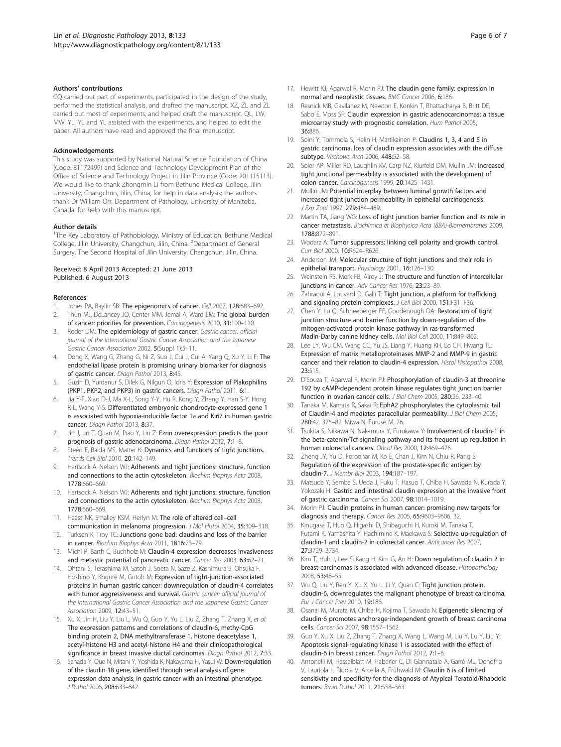#### <span id="page-5-0"></span>Authors' contributions

CQ carried out part of experiments, participated in the design of the study, performed the statistical analysis, and drafted the manuscript. XZ, ZL and ZL carried out most of experiments, and helped draft the manuscript. QL, LW, MW, YL, YL and YL assisted with the experiments, and helped to edit the paper. All authors have read and approved the final manuscript.

#### Acknowledgements

This study was supported by National Natural Science Foundation of China (Code: 81172499) and Science and Technology Development Plan of the Office of Science and Technology Project in Jilin Province (Code: 201115113). We would like to thank Zhongmin Li from Bethune Medical College, Jilin University, Changchun, Jilin, China, for help in data analysis; the authors thank Dr William Orr, Department of Pathology, University of Manitoba, Canada, for help with this manuscript.

#### Author details

<sup>1</sup>The Key Laboratory of Pathobiology, Ministry of Education, Bethune Medical College, Jilin University, Changchun, Jilin, China. <sup>2</sup>Department of General Surgery, The Second Hospital of Jilin University, Changchun, Jilin, China.

#### Received: 8 April 2013 Accepted: 21 June 2013 Published: 6 August 2013

#### References

- Jones PA, Baylin SB: The epigenomics of cancer. Cell 2007, 128:683-692.
- 2. Thun MJ, DeLancey JO, Center MM, Jemal A, Ward EM: The global burden of cancer: priorities for prevention. Carcinogenesis 2010, 31:100–110.
- 3. Roder DM: The epidemiology of gastric cancer. Gastric cancer: official journal of the International Gastric Cancer Association and the Japanese Gastric Cancer Association 2002, 5(Suppl 1):5–11.
- 4. Dong X, Wang G, Zhang G, Ni Z, Suo J, Cui J, Cui A, Yang Q, Xu Y, Li F: The endothelial lipase protein is promising urinary biomarker for diagnosis of gastric cancer. Diagn Pathol 2013, 8:45.
- Guzin D, Yurdanur S, Dilek G, Nilgun O, Idris Y: Expression of Plakophilins (PKP1, PKP2, and PKP3) in gastric cancers. Diagn Pathol 2011, 6:1.
- 6. Jia Y-F, Xiao D-J, Ma X-L, Song Y-Y, Hu R, Kong Y, Zheng Y, Han S-Y, Hong R-L, Wang Y-S: Differentiated embryonic chondrocyte-expressed gene 1 is associated with hypoxia-inducible factor 1a and Ki67 in human gastric cancer. Diagn Pathol 2013, 8:37.
- 7. Jin J, Jin T, Quan M, Piao Y, Lin Z: Ezrin overexpression predicts the poor prognosis of gastric adenocarcinoma. Diagn Pathol 2012, 7:1–8.
- 8. Steed E, Balda MS, Matter K: Dynamics and functions of tight junctions. Trends Cell Biol 2010, 20:142–149.
- 9. Hartsock A, Nelson WJ: Adherents and tight junctions: structure, function and connections to the actin cytoskeleton. Biochim Biophys Acta 2008, 1778:660–669.
- 10. Hartsock A, Nelson WJ: Adherents and tight junctions: structure, function and connections to the actin cytoskeleton. Biochim Biophys Acta 2008, 1778:660–669.
- 11. Haass NK, Smalley KSM, Herlyn M: The role of altered cell-cell communication in melanoma progression. J Mol Histol 2004, 35:309–318.
- 12. Turksen K, Troy TC: Junctions gone bad: claudins and loss of the barrier in cancer. Biochim Biophys Acta 2011, 1816:73–79.
- 13. Michl P, Barth C, Buchholz M: Claudin-4 expression decreases invasiveness and metastic potential of pancreatic cancer. Cancer Res 2003, 63:62–71.
- 14. Ohtani S, Terashima M, Satoh J, Soeta N, Saze Z, Kashimura S, Ohsuka F, Hoshino Y, Kogure M, Gotoh M: Expression of tight-junction-associated proteins in human gastric cancer: downregulation of claudin-4 correlates with tumor aggressiveness and survival. Gastric cancer: official journal of the International Gastric Cancer Association and the Japanese Gastric Cancer Association 2009, 12:43–51.
- 15. Xu X, Jin H, Liu Y, Liu L, Wu Q, Guo Y, Yu L, Liu Z, Zhang T, Zhang X, et al: The expression patterns and correlations of claudin-6, methy-CpG binding protein 2, DNA methyltransferase 1, histone deacetylase 1, acetyl-histone H3 and acetyl-histone H4 and their clinicopathological significance in breast invasive ductal carcinomas. Diagn Pathol 2012, 7:33.
- 16. Sanada Y, Oue N, Mitani Y, Yoshida K, Nakayama H, Yasui W: Down-regulation of the claudin‐18 gene, identified through serial analysis of gene expression data analysis, in gastric cancer with an intestinal phenotype. J Pathol 2006, 208:633–642.
- 17. Hewitt KJ, Agarwal R, Morin PJ: The claudin gene family: expression in normal and neoplastic tissues. BMC Cancer 2006, 6:186.
- 18. Resnick MB, Gavilanez M, Newton E, Konkin T, Bhattacharya B, Britt DE, Sabo E, Moss SF: Claudin expression in gastric adenocarcinomas: a tissue microarray study with prognostic correlation. Hum Pathol 2005, 36:886.
- 19. Soini Y, Tommola S, Helin H, Martikainen P: Claudins 1, 3, 4 and 5 in gastric carcinoma, loss of claudin expression associates with the diffuse subtype. Virchows Arch 2006, 448:52–58.
- 20. Soler AP, Miller RD, Laughlin KV, Carp NZ, Klurfeld DM, Mullin JM: Increased tight junctional permeability is associated with the development of colon cancer. Carcinogenesis 1999, 20:1425–1431.
- 21. Mullin JM: Potential interplay between luminal growth factors and increased tight junction permeability in epithelial carcinogenesis. J Exp Zool 1997, 279:484-489.
- 22. Martin TA, Jiang WG: Loss of tight junction barrier function and its role in cancer metastasis. Biochimica et Biophysica Acta (BBA)-Biomembranes 2009, 1788:872–891.
- 23. Wodarz A: Tumor suppressors: linking cell polarity and growth control. Curr Biol 2000, 10:R624–R626.
- 24. Anderson JM: Molecular structure of tight junctions and their role in epithelial transport. Physiology 2001, 16:126–130.
- 25. Weinstein RS, Merk FB, Alroy J: The structure and function of intercellular junctions in cancer. Adv Cancer Res 1976, 23:23–89.
- Zahraoui A, Louvard D, Galli T: Tight junction, a platform for trafficking and signaling protein complexes. J Cell Biol 2000, 151:F31-F36
- 27. Chen Y, Lu Q, Schneeberger EE, Goodenough DA: Restoration of tight junction structure and barrier function by down-regulation of the mitogen-activated protein kinase pathway in ras-transformed Madin-Darby canine kidney cells. Mol Biol Cell 2000, 11:849–862.
- 28. Lee LY, Wu CM, Wang CC, Yu JS, Liang Y, Huang KH, Lo CH, Hwang TL: Expression of matrix metalloproteinases MMP-2 and MMP-9 in gastric cancer and their relation to claudin-4 expression. Histol Histopathol 2008, 23:515.
- 29. D'Souza T, Agarwal R, Morin PJ: Phosphorylation of claudin-3 at threonine 192 by cAMP-dependent protein kinase regulates tight junction barrier function in ovarian cancer cells. J Biol Chem 2005, 280:26. 233-40.
- 30. Tanaka M, Kamata R, Sakai R: EphA2 phosphorylates the cytoplasmic tail of Claudin-4 and mediates paracellular permeability. J Biol Chem 2005, 280:42. 375–82. Miwa N, Furuse M, 26.
- 31. Tsukita S, Niikawa N, Nakamura Y, Furukawa Y: Involvement of claudin-1 in the beta-catenin/Tcf signaling pathway and its frequent up regulation in human colorectal cancers. Oncol Res 2000, 12:469–476.
- 32. Zheng JY, Yu D, Foroohar M, Ko E, Chan J, Kim N, Chiu R, Pang S: Regulation of the expression of the prostate-specific antigen by claudin-7. J Membr Biol 2003, 194:187–197.
- 33. Matsuda Y, Semba S, Ueda J, Fuku T, Hasuo T, Chiba H, Sawada N, Kuroda Y, Yokozaki H: Gastric and intestinal claudin expression at the invasive front of gastric carcinoma. Cancer Sci 2007, 98:1014–1019.
- 34. Morin PJ: Claudin proteins in human cancer: promising new targets for diagnosis and therapy. Cancer Res 2005, 65:9603–9606. 32.
- 35. Kinugasa T, Huo Q, Higashi D, Shibaguchi H, Kuroki M, Tanaka T, Futami K, Yamashita Y, Hachimine K, Maekawa S: Selective up-regulation of claudin-1 and claudin-2 in colorectal cancer. Anticancer Res 2007, 27:3729–3734.
- 36. Kim T, Huh J, Lee S, Kang H, Kim G, An H: Down regulation of claudin 2 in breast carcinomas is associated with advanced disease. Histopathology 2008, 53:48–55.
- 37. Wu Q, Liu Y, Ren Y, Xu X, Yu L, Li Y, Quan C: Tight junction protein, claudin-6, downregulates the malignant phenotype of breast carcinoma. Eur J Cancer Prev 2010, 19:186.
- 38. Osanai M, Murata M, Chiba H, Kojima T, Sawada N: Epigenetic silencing of claudin‐6 promotes anchorage‐independent growth of breast carcinoma cells. Cancer Sci 2007, 98:1557–1562.
- 39. Guo Y, Xu X, Liu Z, Zhang T, Zhang X, Wang L, Wang M, Liu Y, Lu Y, Liu Y: Apoptosis signal-regulating kinase 1 is associated with the effect of claudin-6 in breast cancer. Diagn Pathol 2012, 7:1–6.
- Antonelli M, Hasselblatt M, Haberler C, Di Giannatale A, Garrè ML, Donofrio V, Lauriola L, Ridola V, Arcella A, Frühwald M: Claudin 6 is of limited sensitivity and specificity for the diagnosis of Atypical Teratoid/Rhabdoid tumors. Brain Pathol 2011, 21:558–563.